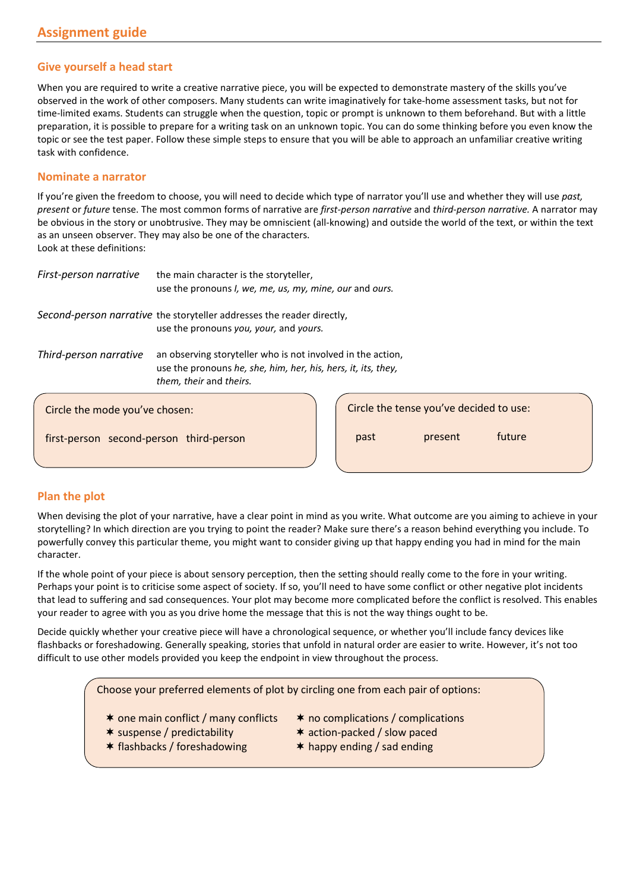## **Give yourself a head start**

When you are required to write a creative narrative piece, you will be expected to demonstrate mastery of the skills you've observed in the work of other composers. Many students can write imaginatively for take-home assessment tasks, but not for time-limited exams. Students can struggle when the question, topic or prompt is unknown to them beforehand. But with a little preparation, it is possible to prepare for a writing task on an unknown topic. You can do some thinking before you even know the topic or see the test paper. Follow these simple steps to ensure that you will be able to approach an unfamiliar creative writing task with confidence.

#### **Nominate a narrator**

If you're given the freedom to choose, you will need to decide which type of narrator you'll use and whether they will use *past, present* or *future* tense. The most common forms of narrative are *first-person narrative* and *third-person narrative.* A narrator may be obvious in the story or unobtrusive. They may be omniscient (all-knowing) and outside the world of the text, or within the text as an unseen observer. They may also be one of the characters. Look at these definitions:

| First-person narrative                  | the main character is the storyteller,<br>use the pronouns I, we, me, us, my, mine, our and ours.                                                       |  |      |                                         |        |
|-----------------------------------------|---------------------------------------------------------------------------------------------------------------------------------------------------------|--|------|-----------------------------------------|--------|
|                                         | Second-person narrative the storyteller addresses the reader directly,<br>use the pronouns you, your, and yours.                                        |  |      |                                         |        |
| Third-person narrative                  | an observing storyteller who is not involved in the action,<br>use the pronouns he, she, him, her, his, hers, it, its, they,<br>them, their and theirs. |  |      |                                         |        |
| Circle the mode you've chosen:          |                                                                                                                                                         |  |      | Circle the tense you've decided to use: |        |
| first-person second-person third-person |                                                                                                                                                         |  | past | present                                 | future |

## **Plan the plot**

When devising the plot of your narrative, have a clear point in mind as you write. What outcome are you aiming to achieve in your storytelling? In which direction are you trying to point the reader? Make sure there's a reason behind everything you include. To powerfully convey this particular theme, you might want to consider giving up that happy ending you had in mind for the main character.

If the whole point of your piece is about sensory perception, then the setting should really come to the fore in your writing. Perhaps your point is to criticise some aspect of society. If so, you'll need to have some conflict or other negative plot incidents that lead to suffering and sad consequences. Your plot may become more complicated before the conflict is resolved. This enables your reader to agree with you as you drive home the message that this is not the way things ought to be.

Decide quickly whether your creative piece will have a chronological sequence, or whether you'll include fancy devices like flashbacks or foreshadowing. Generally speaking, stories that unfold in natural order are easier to write. However, it's not too difficult to use other models provided you keep the endpoint in view throughout the process.

Choose your preferred elements of plot by circling one from each pair of options:

- $*$  one main conflict / many conflicts  $*$  no complications / complications
- 
- 
- \* suspense / predictability \* action-packed / slow paced
- $*$  flashbacks / foreshadowing  $*$  happy ending / sad ending
-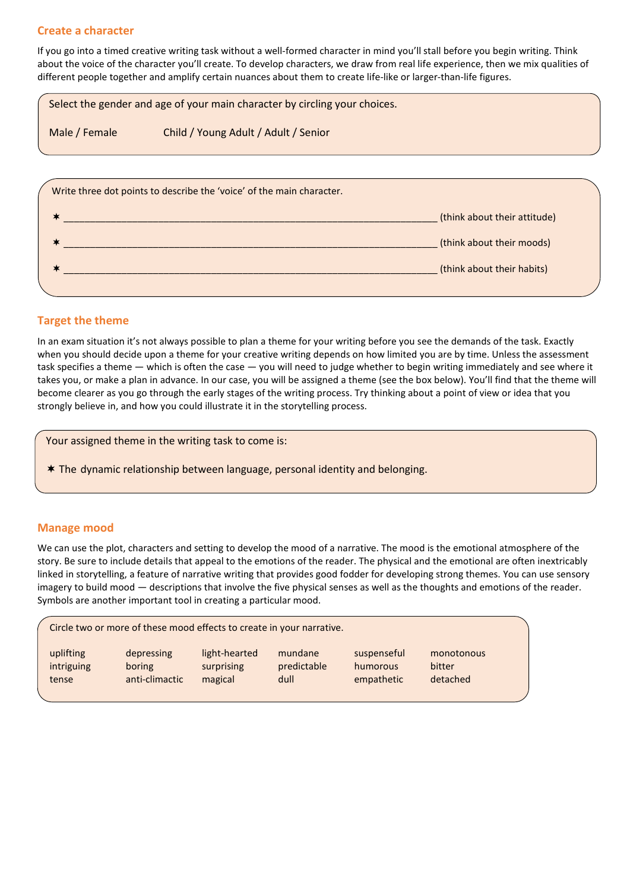### **Create a character**

If you go into a timed creative writing task without a well-formed character in mind you'll stall before you begin writing. Think about the voice of the character you'll create. To develop characters, we draw from real life experience, then we mix qualities of different people together and amplify certain nuances about them to create life-like or larger-than-life figures.

|               | Select the gender and age of your main character by circling your choices. |
|---------------|----------------------------------------------------------------------------|
| Male / Female | Child / Young Adult / Adult / Senior                                       |
|               |                                                                            |
|               | Write three dot points to describe the 'voice' of the main character.      |

|  | (think about their attitude) |
|--|------------------------------|
|  | (think about their moods)    |
|  | (think about their habits)   |
|  |                              |

## **Target the theme**

In an exam situation it's not always possible to plan a theme for your writing before you see the demands of the task. Exactly when you should decide upon a theme for your creative writing depends on how limited you are by time. Unless the assessment task specifies a theme — which is often the case — you will need to judge whether to begin writing immediately and see where it takes you, or make a plan in advance. In our case, you will be assigned a theme (see the box below). You'll find that the theme will become clearer as you go through the early stages of the writing process. Try thinking about a point of view or idea that you strongly believe in, and how you could illustrate it in the storytelling process.

Your assigned theme in the writing task to come is:

The dynamic relationship between language, personal identity and belonging.

## **Manage mood**

We can use the plot, characters and setting to develop the mood of a narrative. The mood is the emotional atmosphere of the story. Be sure to include details that appeal to the emotions of the reader. The physical and the emotional are often inextricably linked in storytelling, a feature of narrative writing that provides good fodder for developing strong themes. You can use sensory imagery to build mood — descriptions that involve the five physical senses as well as the thoughts and emotions of the reader. Symbols are another important tool in creating a particular mood.

| uplifting<br>light-hearted<br>suspenseful<br>depressing<br>mundane<br>predictable<br>intriguing<br>surprising<br>boring<br>humorous<br>anti-climactic<br>dull<br>magical<br>empathetic<br>tense | monotonous<br>bitter<br>detached |  |
|-------------------------------------------------------------------------------------------------------------------------------------------------------------------------------------------------|----------------------------------|--|